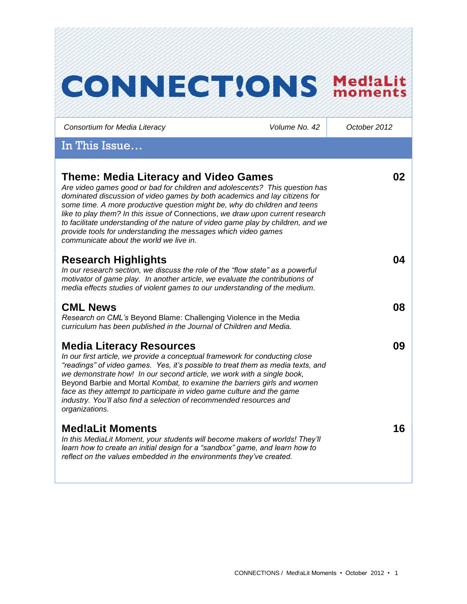| <b>CONNECT!ONS</b>                                                                                                                                                                                                                                                                                                                                                                                                                                                                                                                                                        |               | Med!aLit<br>moments |
|---------------------------------------------------------------------------------------------------------------------------------------------------------------------------------------------------------------------------------------------------------------------------------------------------------------------------------------------------------------------------------------------------------------------------------------------------------------------------------------------------------------------------------------------------------------------------|---------------|---------------------|
| Consortium for Media Literacy                                                                                                                                                                                                                                                                                                                                                                                                                                                                                                                                             | Volume No. 42 | October 2012        |
| In This Issue                                                                                                                                                                                                                                                                                                                                                                                                                                                                                                                                                             |               |                     |
| <b>Theme: Media Literacy and Video Games</b><br>Are video games good or bad for children and adolescents? This question has<br>dominated discussion of video games by both academics and lay citizens for<br>some time. A more productive question might be, why do children and teens<br>like to play them? In this issue of Connections, we draw upon current research<br>to facilitate understanding of the nature of video game play by children, and we<br>provide tools for understanding the messages which video games<br>communicate about the world we live in. |               | 02                  |
| <b>Research Highlights</b><br>In our research section, we discuss the role of the "flow state" as a powerful<br>motivator of game play. In another article, we evaluate the contributions of<br>media effects studies of violent games to our understanding of the medium.                                                                                                                                                                                                                                                                                                |               | 04                  |
| <b>CML News</b><br>Research on CML's Beyond Blame: Challenging Violence in the Media<br>curriculum has been published in the Journal of Children and Media.                                                                                                                                                                                                                                                                                                                                                                                                               |               | 08                  |
| <b>Media Literacy Resources</b><br>In our first article, we provide a conceptual framework for conducting close<br>"readings" of video games. Yes, it's possible to treat them as media texts, and<br>we demonstrate how! In our second article, we work with a single book,<br>Beyond Barbie and Mortal Kombat, to examine the barriers girls and women<br>face as they attempt to participate in video game culture and the game<br>industry. You'll also find a selection of recommended resources and<br>organizations.                                               |               | 09                  |
| <b>Med!aLit Moments</b><br>In this MediaLit Moment, your students will become makers of worlds! They'll<br>learn how to create an initial design for a "sandbox" game, and learn how to<br>reflect on the values embedded in the environments they've created.                                                                                                                                                                                                                                                                                                            |               | 16                  |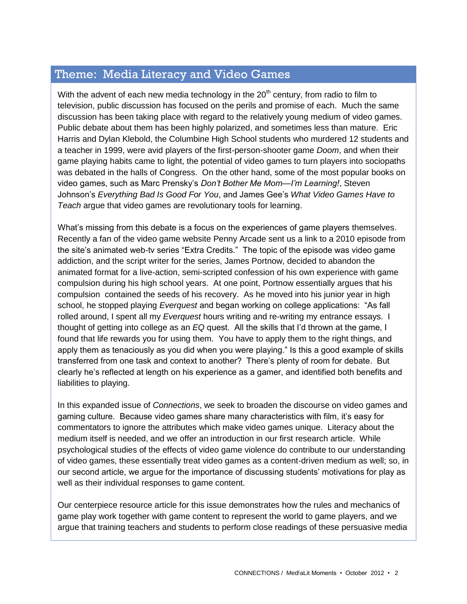# Theme: Media Literacy and Video Games

With the advent of each new media technology in the  $20<sup>th</sup>$  century, from radio to film to television, public discussion has focused on the perils and promise of each. Much the same discussion has been taking place with regard to the relatively young medium of video games. Public debate about them has been highly polarized, and sometimes less than mature. Eric Harris and Dylan Klebold, the Columbine High School students who murdered 12 students and a teacher in 1999, were avid players of the first-person-shooter game *Doom*, and when their game playing habits came to light, the potential of video games to turn players into sociopaths was debated in the halls of Congress. On the other hand, some of the most popular books on video games, such as Marc Prensky's *Don't Bother Me Mom—I'm Learning!*, Steven Johnson's *Everything Bad Is Good For You*, and James Gee's *What Video Games Have to Teach* argue that video games are revolutionary tools for learning.

What's missing from this debate is a focus on the experiences of game players themselves. Recently a fan of the video game website Penny Arcade sent us a link to a 2010 episode from the site's animated web-tv series "Extra Credits." The topic of the episode was video game addiction, and the script writer for the series, James Portnow, decided to abandon the animated format for a live-action, semi-scripted confession of his own experience with game compulsion during his high school years. At one point, Portnow essentially argues that his compulsion contained the seeds of his recovery. As he moved into his junior year in high school, he stopped playing *Everquest* and began working on college applications: "As fall rolled around, I spent all my *Everquest* hours writing and re-writing my entrance essays. I thought of getting into college as an *EQ* quest. All the skills that I'd thrown at the game, I found that life rewards you for using them. You have to apply them to the right things, and apply them as tenaciously as you did when you were playing." Is this a good example of skills transferred from one task and context to another? There's plenty of room for debate. But clearly he's reflected at length on his experience as a gamer, and identified both benefits and liabilities to playing.

In this expanded issue of *Connections*, we seek to broaden the discourse on video games and gaming culture. Because video games share many characteristics with film, it's easy for commentators to ignore the attributes which make video games unique. Literacy about the medium itself is needed, and we offer an introduction in our first research article. While psychological studies of the effects of video game violence do contribute to our understanding of video games, these essentially treat video games as a content-driven medium as well; so, in our second article, we argue for the importance of discussing students' motivations for play as well as their individual responses to game content.

Our centerpiece resource article for this issue demonstrates how the rules and mechanics of game play work together with game content to represent the world to game players, and we argue that training teachers and students to perform close readings of these persuasive media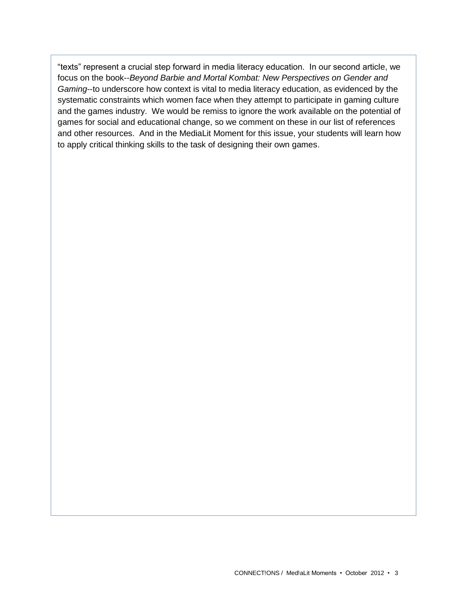"texts" represent a crucial step forward in media literacy education. In our second article, we focus on the book--*Beyond Barbie and Mortal Kombat: New Perspectives on Gender and Gaming*--to underscore how context is vital to media literacy education, as evidenced by the systematic constraints which women face when they attempt to participate in gaming culture and the games industry. We would be remiss to ignore the work available on the potential of games for social and educational change, so we comment on these in our list of references and other resources. And in the MediaLit Moment for this issue, your students will learn how to apply critical thinking skills to the task of designing their own games.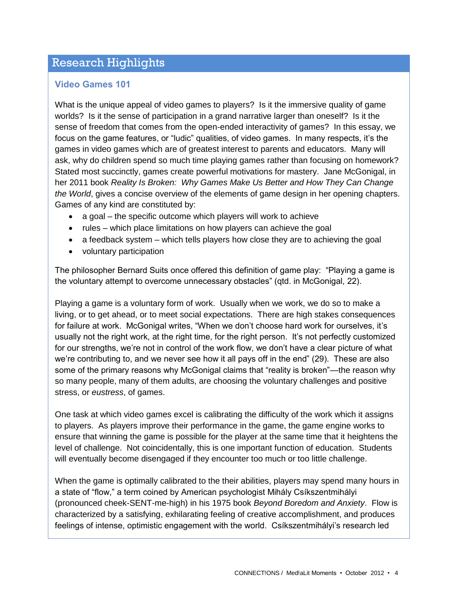# Research Highlights

### **Video Games 101**

What is the unique appeal of video games to players? Is it the immersive quality of game worlds? Is it the sense of participation in a grand narrative larger than oneself? Is it the sense of freedom that comes from the open-ended interactivity of games? In this essay, we focus on the game features, or "ludic" qualities, of video games. In many respects, it's the games in video games which are of greatest interest to parents and educators. Many will ask, why do children spend so much time playing games rather than focusing on homework? Stated most succinctly, games create powerful motivations for mastery. Jane McGonigal, in her 2011 book *Reality Is Broken: Why Games Make Us Better and How They Can Change the World*, gives a concise overview of the elements of game design in her opening chapters. Games of any kind are constituted by:

- $\bullet$  a goal the specific outcome which players will work to achieve
- rules which place limitations on how players can achieve the goal
- a feedback system which tells players how close they are to achieving the goal
- voluntary participation

The philosopher Bernard Suits once offered this definition of game play: "Playing a game is the voluntary attempt to overcome unnecessary obstacles" (qtd. in McGonigal, 22).

Playing a game is a voluntary form of work. Usually when we work, we do so to make a living, or to get ahead, or to meet social expectations. There are high stakes consequences for failure at work. McGonigal writes, "When we don't choose hard work for ourselves, it's usually not the right work, at the right time, for the right person. It's not perfectly customized for our strengths, we're not in control of the work flow, we don't have a clear picture of what we're contributing to, and we never see how it all pays off in the end" (29). These are also some of the primary reasons why McGonigal claims that "reality is broken"—the reason why so many people, many of them adults, are choosing the voluntary challenges and positive stress, or *eustress*, of games.

One task at which video games excel is calibrating the difficulty of the work which it assigns to players. As players improve their performance in the game, the game engine works to ensure that winning the game is possible for the player at the same time that it heightens the level of challenge. Not coincidentally, this is one important function of education. Students will eventually become disengaged if they encounter too much or too little challenge.

When the game is optimally calibrated to the their abilities, players may spend many hours in a state of "flow," a term coined by American psychologist Mihály Csíkszentmihályi (pronounced cheek-SENT-me-high) in his 1975 book *Beyond Boredom and Anxiety*. Flow is characterized by a satisfying, exhilarating feeling of creative accomplishment, and produces feelings of intense, optimistic engagement with the world. Csíkszentmihályi's research led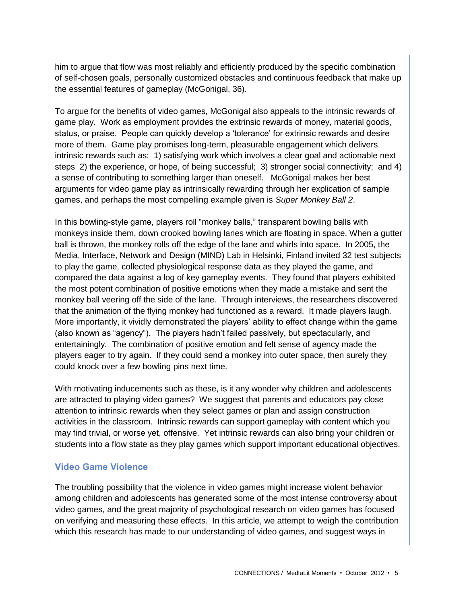him to argue that flow was most reliably and efficiently produced by the specific combination of self-chosen goals, personally customized obstacles and continuous feedback that make up the essential features of gameplay (McGonigal, 36).

To argue for the benefits of video games, McGonigal also appeals to the intrinsic rewards of game play. Work as employment provides the extrinsic rewards of money, material goods, status, or praise. People can quickly develop a 'tolerance' for extrinsic rewards and desire more of them. Game play promises long-term, pleasurable engagement which delivers intrinsic rewards such as: 1) satisfying work which involves a clear goal and actionable next steps 2) the experience, or hope, of being successful; 3) stronger social connectivity; and 4) a sense of contributing to something larger than oneself. McGonigal makes her best arguments for video game play as intrinsically rewarding through her explication of sample games, and perhaps the most compelling example given is *Super Monkey Ball 2*.

In this bowling-style game, players roll "monkey balls," transparent bowling balls with monkeys inside them, down crooked bowling lanes which are floating in space. When a gutter ball is thrown, the monkey rolls off the edge of the lane and whirls into space. In 2005, the Media, Interface, Network and Design (MIND) Lab in Helsinki, Finland invited 32 test subjects to play the game, collected physiological response data as they played the game, and compared the data against a log of key gameplay events. They found that players exhibited the most potent combination of positive emotions when they made a mistake and sent the monkey ball veering off the side of the lane. Through interviews, the researchers discovered that the animation of the flying monkey had functioned as a reward. It made players laugh. More importantly, it vividly demonstrated the players' ability to effect change within the game (also known as "agency"). The players hadn't failed passively, but spectacularly, and entertainingly. The combination of positive emotion and felt sense of agency made the players eager to try again. If they could send a monkey into outer space, then surely they could knock over a few bowling pins next time.

With motivating inducements such as these, is it any wonder why children and adolescents are attracted to playing video games? We suggest that parents and educators pay close attention to intrinsic rewards when they select games or plan and assign construction activities in the classroom. Intrinsic rewards can support gameplay with content which you may find trivial, or worse yet, offensive. Yet intrinsic rewards can also bring your children or students into a flow state as they play games which support important educational objectives.

### **Video Game Violence**

The troubling possibility that the violence in video games might increase violent behavior among children and adolescents has generated some of the most intense controversy about video games, and the great majority of psychological research on video games has focused on verifying and measuring these effects. In this article, we attempt to weigh the contribution which this research has made to our understanding of video games, and suggest ways in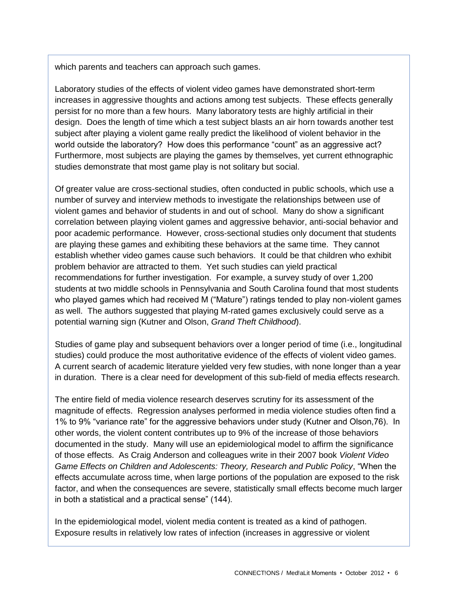which parents and teachers can approach such games.

Laboratory studies of the effects of violent video games have demonstrated short-term increases in aggressive thoughts and actions among test subjects. These effects generally persist for no more than a few hours. Many laboratory tests are highly artificial in their design. Does the length of time which a test subject blasts an air horn towards another test subject after playing a violent game really predict the likelihood of violent behavior in the world outside the laboratory? How does this performance "count" as an aggressive act? Furthermore, most subjects are playing the games by themselves, yet current ethnographic studies demonstrate that most game play is not solitary but social.

Of greater value are cross-sectional studies, often conducted in public schools, which use a number of survey and interview methods to investigate the relationships between use of violent games and behavior of students in and out of school. Many do show a significant correlation between playing violent games and aggressive behavior, anti-social behavior and poor academic performance. However, cross-sectional studies only document that students are playing these games and exhibiting these behaviors at the same time. They cannot establish whether video games cause such behaviors. It could be that children who exhibit problem behavior are attracted to them. Yet such studies can yield practical recommendations for further investigation. For example, a survey study of over 1,200 students at two middle schools in Pennsylvania and South Carolina found that most students who played games which had received M ("Mature") ratings tended to play non-violent games as well. The authors suggested that playing M-rated games exclusively could serve as a potential warning sign (Kutner and Olson, *Grand Theft Childhood*).

Studies of game play and subsequent behaviors over a longer period of time (i.e., longitudinal studies) could produce the most authoritative evidence of the effects of violent video games. A current search of academic literature yielded very few studies, with none longer than a year in duration. There is a clear need for development of this sub-field of media effects research.

The entire field of media violence research deserves scrutiny for its assessment of the magnitude of effects. Regression analyses performed in media violence studies often find a 1% to 9% "variance rate" for the aggressive behaviors under study (Kutner and Olson,76). In other words, the violent content contributes up to 9% of the increase of those behaviors documented in the study. Many will use an epidemiological model to affirm the significance of those effects. As Craig Anderson and colleagues write in their 2007 book *Violent Video Game Effects on Children and Adolescents: Theory, Research and Public Policy*, "When the effects accumulate across time, when large portions of the population are exposed to the risk factor, and when the consequences are severe, statistically small effects become much larger in both a statistical and a practical sense" (144).

In the epidemiological model, violent media content is treated as a kind of pathogen. Exposure results in relatively low rates of infection (increases in aggressive or violent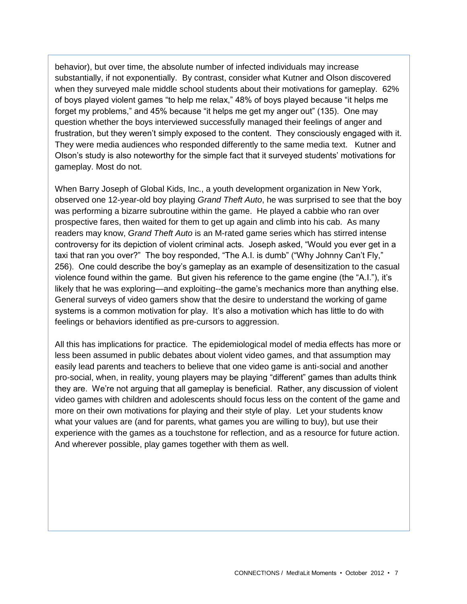behavior), but over time, the absolute number of infected individuals may increase substantially, if not exponentially. By contrast, consider what Kutner and Olson discovered when they surveyed male middle school students about their motivations for gameplay. 62% of boys played violent games "to help me relax," 48% of boys played because "it helps me forget my problems," and 45% because "it helps me get my anger out" (135). One may question whether the boys interviewed successfully managed their feelings of anger and frustration, but they weren't simply exposed to the content. They consciously engaged with it. They were media audiences who responded differently to the same media text. Kutner and Olson's study is also noteworthy for the simple fact that it surveyed students' motivations for gameplay. Most do not.

When Barry Joseph of Global Kids, Inc., a youth development organization in New York, observed one 12-year-old boy playing *Grand Theft Auto*, he was surprised to see that the boy was performing a bizarre subroutine within the game. He played a cabbie who ran over prospective fares, then waited for them to get up again and climb into his cab. As many readers may know, *Grand Theft Auto* is an M-rated game series which has stirred intense controversy for its depiction of violent criminal acts. Joseph asked, "Would you ever get in a taxi that ran you over?" The boy responded, "The A.I. is dumb" ("Why Johnny Can't Fly," 256). One could describe the boy's gameplay as an example of desensitization to the casual violence found within the game. But given his reference to the game engine (the "A.I."), it's likely that he was exploring—and exploiting--the game's mechanics more than anything else. General surveys of video gamers show that the desire to understand the working of game systems is a common motivation for play. It's also a motivation which has little to do with feelings or behaviors identified as pre-cursors to aggression.

All this has implications for practice. The epidemiological model of media effects has more or less been assumed in public debates about violent video games, and that assumption may easily lead parents and teachers to believe that one video game is anti-social and another pro-social, when, in reality, young players may be playing "different" games than adults think they are. We're not arguing that all gameplay is beneficial. Rather, any discussion of violent video games with children and adolescents should focus less on the content of the game and more on their own motivations for playing and their style of play. Let your students know what your values are (and for parents, what games you are willing to buy), but use their experience with the games as a touchstone for reflection, and as a resource for future action. And wherever possible, play games together with them as well.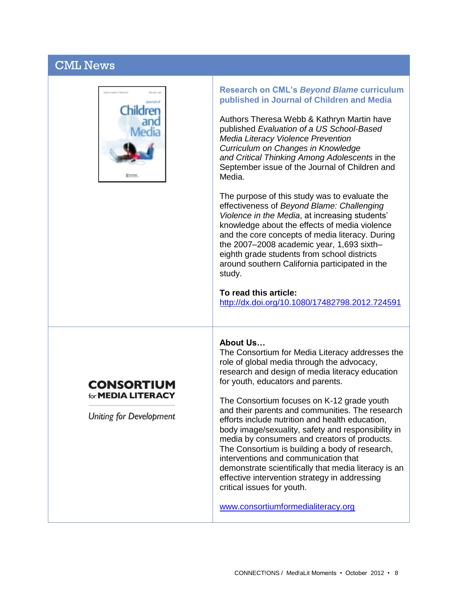# CML News



#### **Research on CML's** *Beyond Blame* **curriculum published in Journal of Children and Media**

Authors Theresa Webb & Kathryn Martin have published *Evaluation of a US School-Based Media Literacy Violence Prevention Curriculum on Changes in Knowledge and Critical Thinking Among Adolescents* in the September issue of the Journal of Children and Media.

The purpose of this study was to evaluate the effectiveness of *Beyond Blame: Challenging Violence in the Media*, at increasing students' knowledge about the effects of media violence and the core concepts of media literacy. During the 2007–2008 academic year, 1,693 sixth– eighth grade students from school districts around southern California participated in the study.

#### **To read this article:**

<http://dx.doi.org/10.1080/17482798.2012.724591>

### **About Us…**

The Consortium for Media Literacy addresses the role of global media through the advocacy, research and design of media literacy education for youth, educators and parents.

The Consortium focuses on K-12 grade youth and their parents and communities. The research efforts include nutrition and health education, body image/sexuality, safety and responsibility in media by consumers and creators of products. The Consortium is building a body of research, interventions and communication that demonstrate scientifically that media literacy is an effective intervention strategy in addressing critical issues for youth.

[www.consortiumformedialiteracy.org](http://www.consortiumformedialiteracy.org/) 

# for **MEDIA LITERACY**

Uniting for Development

**CONSORTIUM**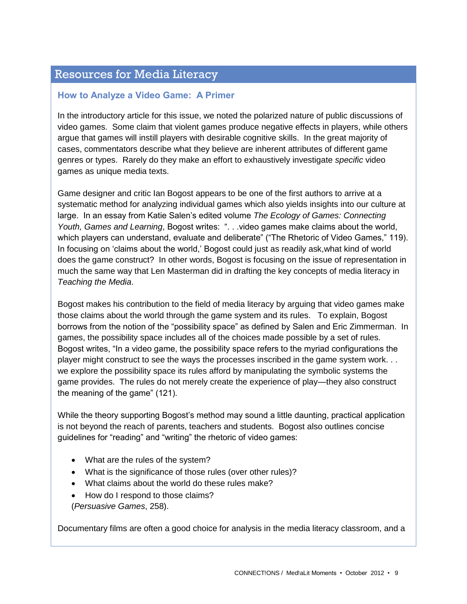# Resources for Media Literacy

### **How to Analyze a Video Game: A Primer**

In the introductory article for this issue, we noted the polarized nature of public discussions of video games. Some claim that violent games produce negative effects in players, while others argue that games will instill players with desirable cognitive skills. In the great majority of cases, commentators describe what they believe are inherent attributes of different game genres or types. Rarely do they make an effort to exhaustively investigate *specific* video games as unique media texts.

Game designer and critic Ian Bogost appears to be one of the first authors to arrive at a systematic method for analyzing individual games which also yields insights into our culture at large. In an essay from Katie Salen's edited volume *The Ecology of Games: Connecting Youth, Games and Learning*, Bogost writes: ". . .video games make claims about the world, which players can understand, evaluate and deliberate" ("The Rhetoric of Video Games," 119). In focusing on 'claims about the world,' Bogost could just as readily ask,what kind of world does the game construct? In other words, Bogost is focusing on the issue of representation in much the same way that Len Masterman did in drafting the key concepts of media literacy in *Teaching the Media*.

Bogost makes his contribution to the field of media literacy by arguing that video games make those claims about the world through the game system and its rules. To explain, Bogost borrows from the notion of the "possibility space" as defined by Salen and Eric Zimmerman. In games, the possibility space includes all of the choices made possible by a set of rules. Bogost writes, "In a video game, the possibility space refers to the myriad configurations the player might construct to see the ways the processes inscribed in the game system work. . . we explore the possibility space its rules afford by manipulating the symbolic systems the game provides. The rules do not merely create the experience of play—they also construct the meaning of the game" (121).

While the theory supporting Bogost's method may sound a little daunting, practical application is not beyond the reach of parents, teachers and students. Bogost also outlines concise guidelines for "reading" and "writing" the rhetoric of video games:

- What are the rules of the system?
- What is the significance of those rules (over other rules)?
- What claims about the world do these rules make?
- How do I respond to those claims?
- (*Persuasive Games*, 258).

Documentary films are often a good choice for analysis in the media literacy classroom, and a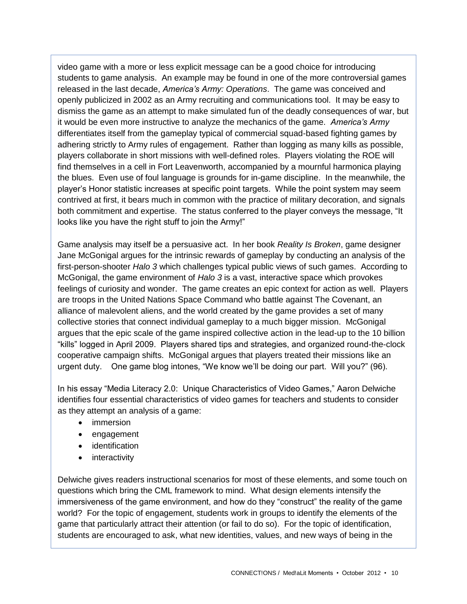video game with a more or less explicit message can be a good choice for introducing students to game analysis. An example may be found in one of the more controversial games released in the last decade, *America's Army: Operations*. The game was conceived and openly publicized in 2002 as an Army recruiting and communications tool. It may be easy to dismiss the game as an attempt to make simulated fun of the deadly consequences of war, but it would be even more instructive to analyze the mechanics of the game. *America's Army* differentiates itself from the gameplay typical of commercial squad-based fighting games by adhering strictly to Army rules of engagement. Rather than logging as many kills as possible, players collaborate in short missions with well-defined roles. Players violating the ROE will find themselves in a cell in Fort Leavenworth, accompanied by a mournful harmonica playing the blues. Even use of foul language is grounds for in-game discipline. In the meanwhile, the player's Honor statistic increases at specific point targets. While the point system may seem contrived at first, it bears much in common with the practice of military decoration, and signals both commitment and expertise. The status conferred to the player conveys the message, "It looks like you have the right stuff to join the Army!"

Game analysis may itself be a persuasive act. In her book *Reality Is Broken*, game designer Jane McGonigal argues for the intrinsic rewards of gameplay by conducting an analysis of the first-person-shooter *Halo 3* which challenges typical public views of such games. According to McGonigal, the game environment of *Halo 3* is a vast, interactive space which provokes feelings of curiosity and wonder. The game creates an epic context for action as well. Players are troops in the United Nations Space Command who battle against The Covenant, an alliance of malevolent aliens, and the world created by the game provides a set of many collective stories that connect individual gameplay to a much bigger mission. McGonigal argues that the epic scale of the game inspired collective action in the lead-up to the 10 billion "kills" logged in April 2009. Players shared tips and strategies, and organized round-the-clock cooperative campaign shifts. McGonigal argues that players treated their missions like an urgent duty. One game blog intones, "We know we'll be doing our part. Will you?" (96).

In his essay "Media Literacy 2.0: Unique Characteristics of Video Games," Aaron Delwiche identifies four essential characteristics of video games for teachers and students to consider as they attempt an analysis of a game:

- immersion
- engagement
- identification
- interactivity

Delwiche gives readers instructional scenarios for most of these elements, and some touch on questions which bring the CML framework to mind. What design elements intensify the immersiveness of the game environment, and how do they "construct" the reality of the game world? For the topic of engagement, students work in groups to identify the elements of the game that particularly attract their attention (or fail to do so). For the topic of identification, students are encouraged to ask, what new identities, values, and new ways of being in the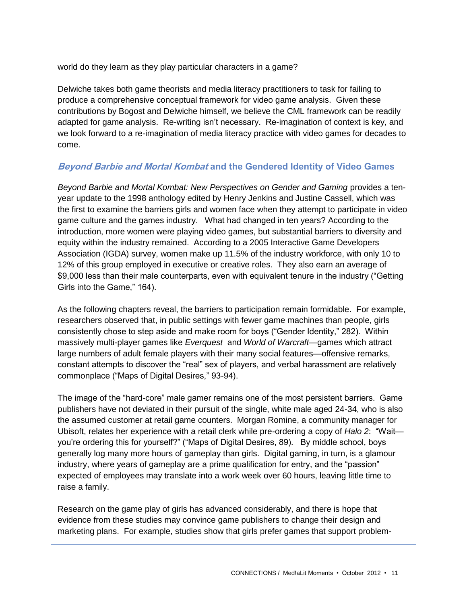world do they learn as they play particular characters in a game?

Delwiche takes both game theorists and media literacy practitioners to task for failing to produce a comprehensive conceptual framework for video game analysis. Given these contributions by Bogost and Delwiche himself, we believe the CML framework can be readily adapted for game analysis. Re-writing isn't necessary. Re-imagination of context is key, and we look forward to a re-imagination of media literacy practice with video games for decades to come.

# **Beyond Barbie and Mortal Kombat and the Gendered Identity of Video Games**

*Beyond Barbie and Mortal Kombat: New Perspectives on Gender and Gaming* provides a tenyear update to the 1998 anthology edited by Henry Jenkins and Justine Cassell, which was the first to examine the barriers girls and women face when they attempt to participate in video game culture and the games industry. What had changed in ten years? According to the introduction, more women were playing video games, but substantial barriers to diversity and equity within the industry remained. According to a 2005 Interactive Game Developers Association (IGDA) survey, women make up 11.5% of the industry workforce, with only 10 to 12% of this group employed in executive or creative roles. They also earn an average of \$9,000 less than their male counterparts, even with equivalent tenure in the industry ("Getting Girls into the Game," 164).

As the following chapters reveal, the barriers to participation remain formidable. For example, researchers observed that, in public settings with fewer game machines than people, girls consistently chose to step aside and make room for boys ("Gender Identity," 282). Within massively multi-player games like *Everquest* and *World of Warcraft*—games which attract large numbers of adult female players with their many social features—offensive remarks, constant attempts to discover the "real" sex of players, and verbal harassment are relatively commonplace ("Maps of Digital Desires," 93-94).

The image of the "hard-core" male gamer remains one of the most persistent barriers. Game publishers have not deviated in their pursuit of the single, white male aged 24-34, who is also the assumed customer at retail game counters. Morgan Romine, a community manager for Ubisoft, relates her experience with a retail clerk while pre-ordering a copy of *Halo 2*: "Wait you're ordering this for yourself?" ("Maps of Digital Desires, 89). By middle school, boys generally log many more hours of gameplay than girls. Digital gaming, in turn, is a glamour industry, where years of gameplay are a prime qualification for entry, and the "passion" expected of employees may translate into a work week over 60 hours, leaving little time to raise a family.

Research on the game play of girls has advanced considerably, and there is hope that evidence from these studies may convince game publishers to change their design and marketing plans. For example, studies show that girls prefer games that support problem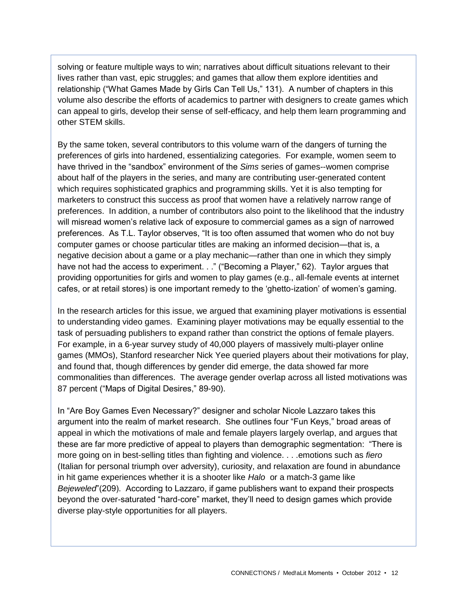solving or feature multiple ways to win; narratives about difficult situations relevant to their lives rather than vast, epic struggles; and games that allow them explore identities and relationship ("What Games Made by Girls Can Tell Us," 131). A number of chapters in this volume also describe the efforts of academics to partner with designers to create games which can appeal to girls, develop their sense of self-efficacy, and help them learn programming and other STEM skills.

By the same token, several contributors to this volume warn of the dangers of turning the preferences of girls into hardened, essentializing categories. For example, women seem to have thrived in the "sandbox" environment of the *Sims* series of games--women comprise about half of the players in the series, and many are contributing user-generated content which requires sophisticated graphics and programming skills. Yet it is also tempting for marketers to construct this success as proof that women have a relatively narrow range of preferences. In addition, a number of contributors also point to the likelihood that the industry will misread women's relative lack of exposure to commercial games as a sign of narrowed preferences. As T.L. Taylor observes, "It is too often assumed that women who do not buy computer games or choose particular titles are making an informed decision—that is, a negative decision about a game or a play mechanic—rather than one in which they simply have not had the access to experiment. . ." ("Becoming a Player," 62). Taylor argues that providing opportunities for girls and women to play games (e.g., all-female events at internet cafes, or at retail stores) is one important remedy to the 'ghetto-ization' of women's gaming.

In the research articles for this issue, we argued that examining player motivations is essential to understanding video games. Examining player motivations may be equally essential to the task of persuading publishers to expand rather than constrict the options of female players. For example, in a 6-year survey study of 40,000 players of massively multi-player online games (MMOs), Stanford researcher Nick Yee queried players about their motivations for play, and found that, though differences by gender did emerge, the data showed far more commonalities than differences. The average gender overlap across all listed motivations was 87 percent ("Maps of Digital Desires," 89-90).

In "Are Boy Games Even Necessary?" designer and scholar Nicole Lazzaro takes this argument into the realm of market research. She outlines four "Fun Keys," broad areas of appeal in which the motivations of male and female players largely overlap, and argues that these are far more predictive of appeal to players than demographic segmentation: "There is more going on in best-selling titles than fighting and violence. . . .emotions such as *fiero*  (Italian for personal triumph over adversity), curiosity, and relaxation are found in abundance in hit game experiences whether it is a shooter like *Halo* or a match-3 game like *Bejeweled*"(209). According to Lazzaro, if game publishers want to expand their prospects beyond the over-saturated "hard-core" market, they'll need to design games which provide diverse play-style opportunities for all players.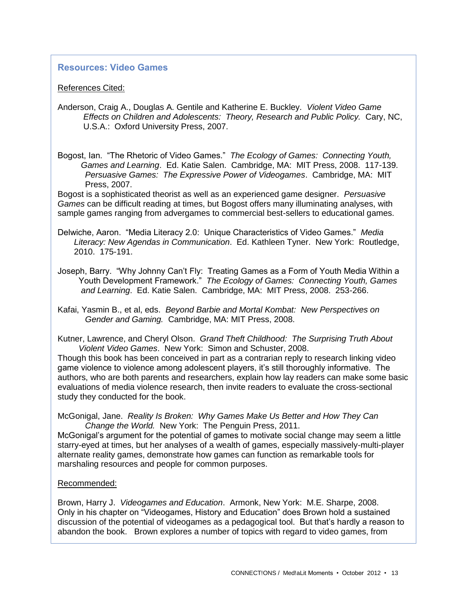### **Resources: Video Games**

#### References Cited:

- Anderson, Craig A., Douglas A. Gentile and Katherine E. Buckley. *Violent Video Game Effects on Children and Adolescents: Theory, Research and Public Policy.* Cary, NC, U.S.A.: Oxford University Press, 2007.
- Bogost, Ian. "The Rhetoric of Video Games." *The Ecology of Games: Connecting Youth, Games and Learning*. Ed. Katie Salen. Cambridge, MA: MIT Press, 2008. 117-139. *Persuasive Games: The Expressive Power of Videogames*. Cambridge, MA: MIT Press, 2007.

Bogost is a sophisticated theorist as well as an experienced game designer. *Persuasive Games* can be difficult reading at times, but Bogost offers many illuminating analyses, with sample games ranging from advergames to commercial best-sellers to educational games.

- Delwiche, Aaron. "Media Literacy 2.0: Unique Characteristics of Video Games." *Media Literacy: New Agendas in Communication*. Ed. Kathleen Tyner. New York: Routledge, 2010. 175-191.
- Joseph, Barry. "Why Johnny Can't Fly: Treating Games as a Form of Youth Media Within a Youth Development Framework." *The Ecology of Games: Connecting Youth, Games and Learning*. Ed. Katie Salen. Cambridge, MA: MIT Press, 2008. 253-266.
- Kafai, Yasmin B., et al, eds. *Beyond Barbie and Mortal Kombat: New Perspectives on Gender and Gaming.* Cambridge, MA: MIT Press, 2008.
- Kutner, Lawrence, and Cheryl Olson. *Grand Theft Childhood: The Surprising Truth About Violent Video Games*. New York: Simon and Schuster, 2008.

Though this book has been conceived in part as a contrarian reply to research linking video game violence to violence among adolescent players, it's still thoroughly informative. The authors, who are both parents and researchers, explain how lay readers can make some basic evaluations of media violence research, then invite readers to evaluate the cross-sectional study they conducted for the book.

McGonigal, Jane. *Reality Is Broken: Why Games Make Us Better and How They Can Change the World.* New York: The Penguin Press, 2011.

McGonigal's argument for the potential of games to motivate social change may seem a little starry-eyed at times, but her analyses of a wealth of games, especially massively-multi-player alternate reality games, demonstrate how games can function as remarkable tools for marshaling resources and people for common purposes.

#### Recommended:

Brown, Harry J. *Videogames and Education*. Armonk, New York: M.E. Sharpe, 2008. Only in his chapter on "Videogames, History and Education" does Brown hold a sustained discussion of the potential of videogames as a pedagogical tool. But that's hardly a reason to abandon the book. Brown explores a number of topics with regard to video games, from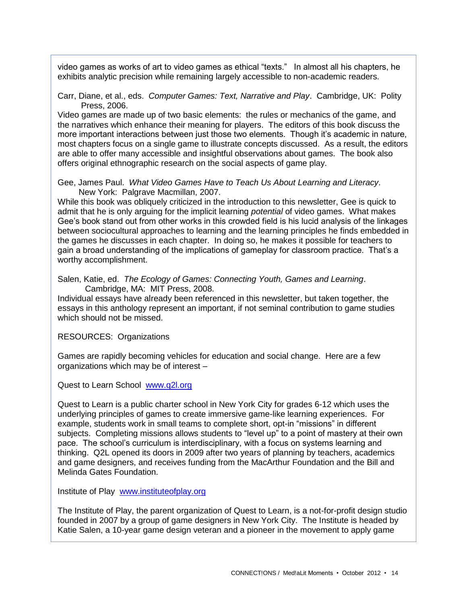video games as works of art to video games as ethical "texts." In almost all his chapters, he exhibits analytic precision while remaining largely accessible to non-academic readers.

Carr, Diane, et al., eds. *Computer Games: Text, Narrative and Play*. Cambridge, UK: Polity Press, 2006.

Video games are made up of two basic elements: the rules or mechanics of the game, and the narratives which enhance their meaning for players. The editors of this book discuss the more important interactions between just those two elements. Though it's academic in nature, most chapters focus on a single game to illustrate concepts discussed. As a result, the editors are able to offer many accessible and insightful observations about games. The book also offers original ethnographic research on the social aspects of game play.

Gee, James Paul. *What Video Games Have to Teach Us About Learning and Literacy*. New York: Palgrave Macmillan, 2007.

While this book was obliquely criticized in the introduction to this newsletter, Gee is quick to admit that he is only arguing for the implicit learning *potential* of video games. What makes Gee's book stand out from other works in this crowded field is his lucid analysis of the linkages between sociocultural approaches to learning and the learning principles he finds embedded in the games he discusses in each chapter. In doing so, he makes it possible for teachers to gain a broad understanding of the implications of gameplay for classroom practice. That's a worthy accomplishment.

Salen, Katie, ed. *The Ecology of Games: Connecting Youth, Games and Learning*. Cambridge, MA: MIT Press, 2008.

Individual essays have already been referenced in this newsletter, but taken together, the essays in this anthology represent an important, if not seminal contribution to game studies which should not be missed.

RESOURCES: Organizations

Games are rapidly becoming vehicles for education and social change. Here are a few organizations which may be of interest –

Quest to Learn School [www.q2l.org](http://www.q2l.org/)

Quest to Learn is a public charter school in New York City for grades 6-12 which uses the underlying principles of games to create immersive game-like learning experiences. For example, students work in small teams to complete short, opt-in "missions" in different subjects. Completing missions allows students to "level up" to a point of mastery at their own pace. The school's curriculum is interdisciplinary, with a focus on systems learning and thinking. Q2L opened its doors in 2009 after two years of planning by teachers, academics and game designers, and receives funding from the MacArthur Foundation and the Bill and Melinda Gates Foundation.

Institute of Play [www.instituteofplay.org](http://www.instituteofplay.org/)

The Institute of Play, the parent organization of Quest to Learn, is a not-for-profit design studio founded in 2007 by a group of game designers in New York City. The Institute is headed by Katie Salen, a 10-year game design veteran and a pioneer in the movement to apply game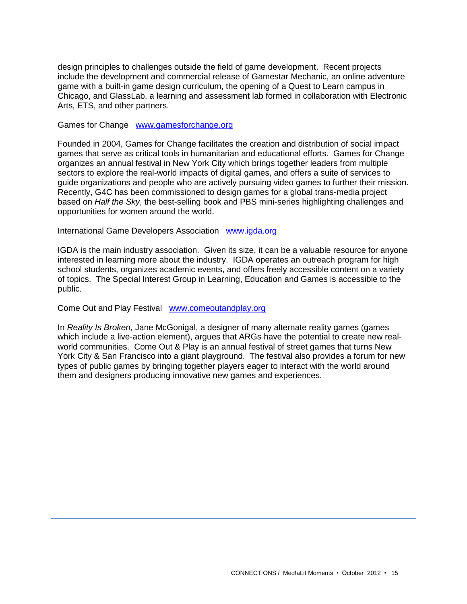design principles to challenges outside the field of game development. Recent projects include the development and commercial release of Gamestar Mechanic, an online adventure game with a built-in game design curriculum, the opening of a Quest to Learn campus in Chicago, and GlassLab, a learning and assessment lab formed in collaboration with Electronic Arts, ETS, and other partners.

Games for Change [www.gamesforchange.org](http://www.gamesforchange.org/)

Founded in 2004, Games for Change facilitates the creation and distribution of social impact games that serve as critical tools in humanitarian and educational efforts. Games for Change organizes an annual festival in New York City which brings together leaders from multiple sectors to explore the real-world impacts of digital games, and offers a suite of services to guide organizations and people who are actively pursuing video games to further their mission. Recently, G4C has been commissioned to design games for a global trans-media project based on *Half the Sky*, the best-selling book and PBS mini-series highlighting challenges and opportunities for women around the world.

International Game Developers Association [www.igda.org](http://www.igda.org/)

IGDA is the main industry association. Given its size, it can be a valuable resource for anyone interested in learning more about the industry. IGDA operates an outreach program for high school students, organizes academic events, and offers freely accessible content on a variety of topics. The Special Interest Group in Learning, Education and Games is accessible to the public.

Come Out and Play Festival [www.comeoutandplay.org](http://www.comeoutandplay.org/)

In *Reality Is Broken*, Jane McGonigal, a designer of many alternate reality games (games which include a live-action element), argues that ARGs have the potential to create new realworld communities. Come Out & Play is an annual festival of street games that turns New York City & San Francisco into a giant playground. The festival also provides a forum for new types of public games by bringing together players eager to interact with the world around them and designers producing innovative new games and experiences.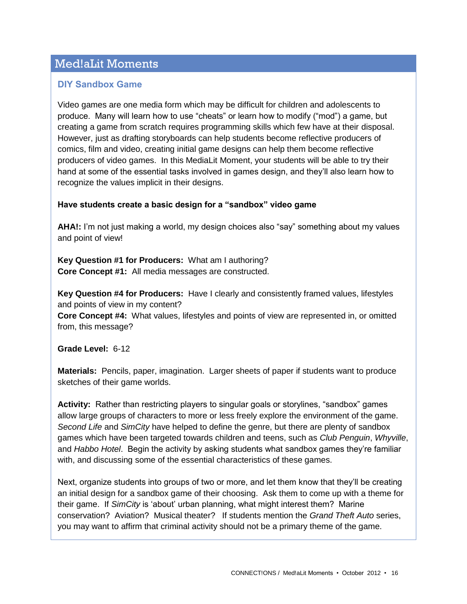# Med!aLit Moments

## **DIY Sandbox Game**

Video games are one media form which may be difficult for children and adolescents to produce. Many will learn how to use "cheats" or learn how to modify ("mod") a game, but creating a game from scratch requires programming skills which few have at their disposal. However, just as drafting storyboards can help students become reflective producers of comics, film and video, creating initial game designs can help them become reflective producers of video games. In this MediaLit Moment, your students will be able to try their hand at some of the essential tasks involved in games design, and they'll also learn how to recognize the values implicit in their designs.

### **Have students create a basic design for a "sandbox" video game**

**AHA!:** I'm not just making a world, my design choices also "say" something about my values and point of view!

**Key Question #1 for Producers:** What am I authoring? **Core Concept #1:** All media messages are constructed.

**Key Question #4 for Producers:** Have I clearly and consistently framed values, lifestyles and points of view in my content?

**Core Concept #4:** What values, lifestyles and points of view are represented in, or omitted from, this message?

**Grade Level:** 6-12

**Materials:** Pencils, paper, imagination. Larger sheets of paper if students want to produce sketches of their game worlds.

**Activity:** Rather than restricting players to singular goals or storylines, "sandbox" games allow large groups of characters to more or less freely explore the environment of the game. *Second Life* and *SimCity* have helped to define the genre, but there are plenty of sandbox games which have been targeted towards children and teens, such as *Club Penguin*, *Whyville*, and *Habbo Hotel*. Begin the activity by asking students what sandbox games they're familiar with, and discussing some of the essential characteristics of these games.

Next, organize students into groups of two or more, and let them know that they'll be creating an initial design for a sandbox game of their choosing. Ask them to come up with a theme for their game. If *SimCity* is 'about' urban planning, what might interest them? Marine conservation? Aviation? Musical theater? If students mention the *Grand Theft Auto* series, you may want to affirm that criminal activity should not be a primary theme of the game.